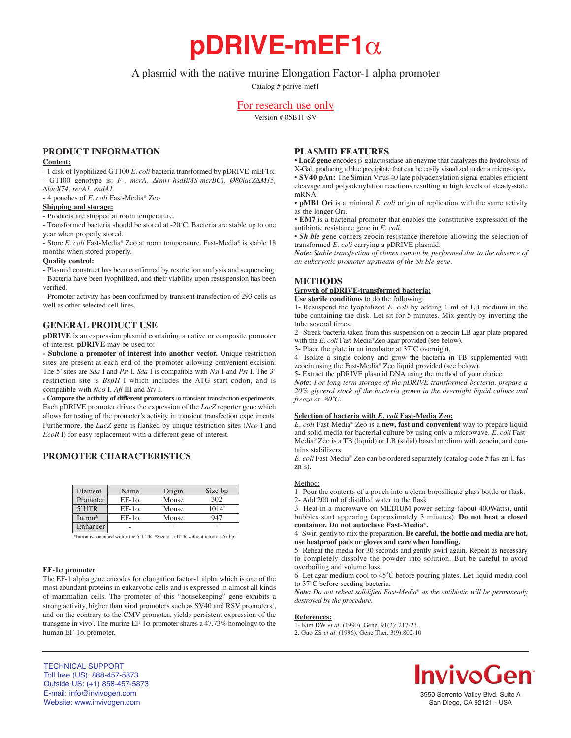**pDRIVE-mEF1**α

# A plasmid with the native murine Elongation Factor-1 alpha promoter

Catalog # pdrive-mef1

# For research use only

Version # 05B11-SV

# **PRODUCT INFORMATION**

### **Content:**

- 1 disk of lyophilized GT100 *E. coli* bacteria transformed by pDRIVE-mEF1α. - GT100 genotype is: *F-, mcrA,* ∆*(mrr-hsdRMS-mcrBC), Ø80lacZ∆M15, ∆lacX74, recA1, endA1.*

- 4 pouches of *E. coli* Fast-Media® Zeo

### **Shipping and storage:**

- Products are shipped at room temperature.

- Transformed bacteria should be stored at -20˚C. Bacteria are stable up to one year when properly stored.

- Store *E. coli* Fast-Media® Zeo at room temperature. Fast-Media® is stable 18 months when stored properly.

# **Quality control:**

- Plasmid construct has been confirmed by restriction analysis and sequencing. - Bacteria have been lyophilized, and their viability upon resuspension has been verified.

- Promoter activity has been confirmed by transient transfection of 293 cells as well as other selected cell lines.

# **GENERAL PRODUCT USE**

**pDRIVE** is an expression plasmid containing a native or composite promoter of interest. **pDRIVE** may be used to:

**- Subclone a promoter of interest into another vector.** Unique restriction sites are present at each end of the promoter allowing convenient excision. The 5' sites are *Sda* I and *Pst* I. *Sda* I is compatible with *Nsi* I and *Pst* I. The 3' restriction site is *BspH* I which includes the ATG start codon, and is compatible with *Nco* I, *Afl* III and *Sty* I.

**- Compare the activity of different promoters**in transient transfection experiments. Each pDRIVE promoter drives the expression of the *LacZ* reporter gene which allows for testing of the promoter's activity in transient transfection experiments. Furthermore, the *LacZ* gene is flanked by unique restriction sites (*Nco* I and *EcoR* I) for easy replacement with a different gene of interest.

# **PROMOTER CHARACTERISTICS**

| Element  | Name         | Origin | Size bp        |
|----------|--------------|--------|----------------|
| Promoter | $EF-1\alpha$ | Mouse  | 302            |
| $5'$ UTR | $EF-1\alpha$ | Mouse  | $1014^{\circ}$ |
| Intron*  | $EF-1\alpha$ | Mouse  | 947            |
| Enhancer |              |        |                |

\*Intron is contained within the 5' UTR. ^Size of 5'UTR without intron is 67 bp.

#### **EF-1**α **promoter**

The EF-1 alpha gene encodes for elongation factor-1 alpha which is one of the most abundant proteins in eukaryotic cells and is expressed in almost all kinds of mammalian cells. The promoter of this "housekeeping" gene exhibits a strong activity, higher than viral promoters such as SV40 and RSV promoters<sup>1</sup>, and on the contrary to the CMV promoter, yields persistent expression of the transgene in vivo<sup>2</sup>. The murine EF-1 $\alpha$  promoter shares a 47.73% homology to the human EF-1α promoter.

# **PLASMID FEATURES**

• **LacZ gene** encodes β-galactosidase an enzyme that catalyzes the hydrolysis of X-Gal, producing a blue precipitate that can be easily visualized under a microscope**.** • **SV40 pAn:** The Simian Virus 40 late polyadenylation signal enables efficient cleavage and polyadenylation reactions resulting in high levels of steady-state mRNA.

• **pMB1 Ori** is a minimal *E. coli* origin of replication with the same activity as the longer Ori.

• **EM7** is a bacterial promoter that enables the constitutive expression of the antibiotic resistance gene in *E. coli.*

• *Sh ble* gene confers zeocin resistance therefore allowing the selection of transformed *E. coli* carrying a pDRIVE plasmid.

*Note: Stable transfection of clones cannot be performed due to the absence of an eukaryotic promoter upstream of the Sh ble gene.*

### **METHODS**

**Growth of pDRIVE-transformed bacteria:**

**Use sterile conditions** to do the following: 1- Resuspend the lyophilized *E. coli* by adding 1 ml of LB medium in the tube containing the disk. Let sit for 5 minutes. Mix gently by inverting the tube several times.

2- Streak bacteria taken from this suspension on a zeocin LB agar plate prepared with the *E. coli* Fast-Media®Zeo agar provided (see below).

3- Place the plate in an incubator at 37˚C overnight.

4- Isolate a single colony and grow the bacteria in TB supplemented with zeocin using the Fast-Media® Zeo liquid provided (see below).

5- Extract the pDRIVE plasmid DNA using the method of your choice.

*Note: For long-term storage of the pDRIVE-transformed bacteria, prepare a 20% glycerol stock of the bacteria grown in the overnight liquid culture and freeze at -80˚C.*

### **Selection of bacteria with** *E. coli* **Fast-Media Zeo:**

*E. coli* Fast-Media® Zeo is a **new, fast and convenient** way to prepare liquid and solid media for bacterial culture by using only a microwave. *E. coli* Fast-Media® Zeo is a TB (liquid) or LB (solid) based medium with zeocin, and contains stabilizers.

*E. coli* Fast-Media® Zeo can be ordered separately (catalog code # fas-zn-l, faszn-s).

#### Method:

1- Pour the contents of a pouch into a clean borosilicate glass bottle or flask. 2- Add 200 ml of distilled water to the flask

3- Heat in a microwave on MEDIUM power setting (about 400Watts), until bubbles start appearing (approximately 3 minutes). **Do not heat a closed container. Do not autoclave Fast-Media**®**.**

4- Swirl gently to mix the preparation. **Be careful, the bottle and media are hot, use heatproof pads or gloves and care when handling.**

5- Reheat the media for 30 seconds and gently swirl again. Repeat as necessary to completely dissolve the powder into solution. But be careful to avoid overboiling and volume loss.

6- Let agar medium cool to 45˚C before pouring plates. Let liquid media cool to 37˚C before seeding bacteria.

*Note: Do not reheat solidified Fast-Media*® *as the antibiotic will be permanently destroyed by the procedure.*

#### **References:**

1- Kim DW *et al*. (1990). Gene. 91(2): 217-23.

2. Guo ZS *et al.* (1996). Gene Ther. 3(9):802-10



3950 Sorrento Valley Blvd. Suite A San Diego, CA 92121 - USA

### TECHNICAL SUPPORT Toll free (US): 888-457-5873 Outside US: (+1) 858-457-5873 E-mail: info@invivogen.com Website: www.invivogen.com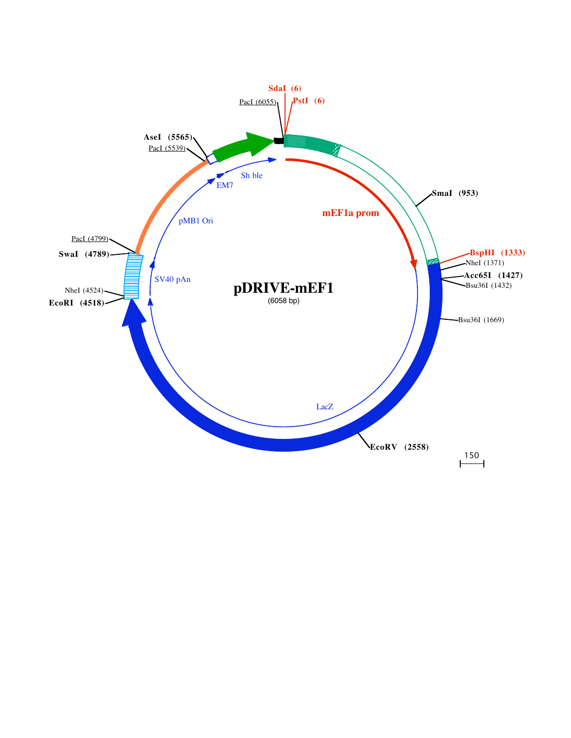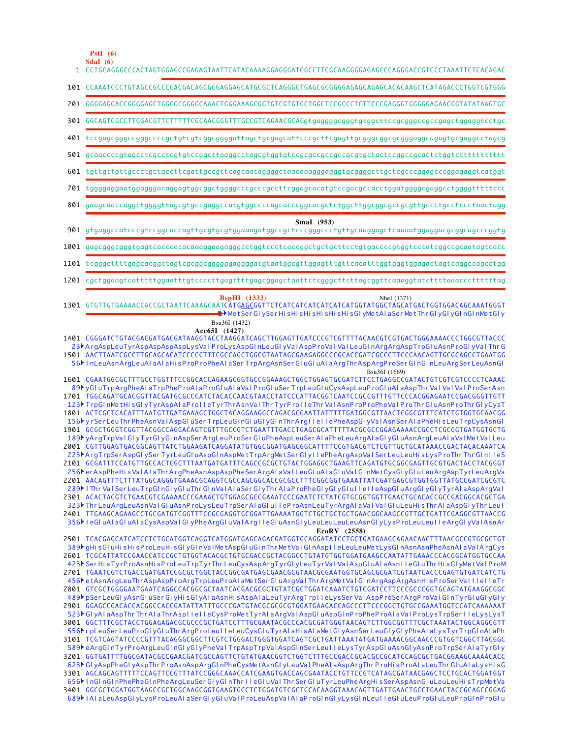**SdaI (6) PstI (6)**

| 1 CCTGCAGGGCCCACTAGTGGAGCCGAGAGTAATTCATACAAAAGGAGGGATCGCCTTCGCAAGGGGAGAGCCCAGGGACCGTCCCTAAATTCTCACAGAC                                                                                                                                                                                                                                                                                                                                                                                                                                                                                                                                                                                                                                                                                                                                                                                                                                                                                                                                                                                                                                                                                                                                                                                                                                                                                                                                                                                                                                                                                                                                                                                                                                                                                                                                                                                                                       |
|------------------------------------------------------------------------------------------------------------------------------------------------------------------------------------------------------------------------------------------------------------------------------------------------------------------------------------------------------------------------------------------------------------------------------------------------------------------------------------------------------------------------------------------------------------------------------------------------------------------------------------------------------------------------------------------------------------------------------------------------------------------------------------------------------------------------------------------------------------------------------------------------------------------------------------------------------------------------------------------------------------------------------------------------------------------------------------------------------------------------------------------------------------------------------------------------------------------------------------------------------------------------------------------------------------------------------------------------------------------------------------------------------------------------------------------------------------------------------------------------------------------------------------------------------------------------------------------------------------------------------------------------------------------------------------------------------------------------------------------------------------------------------------------------------------------------------------------------------------------------------------------------------------------------------|
| 101 CCAAATCCCTGTAGCCGCCCCACGACAGCGCGAGGAGCATGCGCTCAGGGCTGAGCGCGGGGAGAGCAGAGCACAAGCTCATAGACCCTGGTCGTGGG                                                                                                                                                                                                                                                                                                                                                                                                                                                                                                                                                                                                                                                                                                                                                                                                                                                                                                                                                                                                                                                                                                                                                                                                                                                                                                                                                                                                                                                                                                                                                                                                                                                                                                                                                                                                                       |
|                                                                                                                                                                                                                                                                                                                                                                                                                                                                                                                                                                                                                                                                                                                                                                                                                                                                                                                                                                                                                                                                                                                                                                                                                                                                                                                                                                                                                                                                                                                                                                                                                                                                                                                                                                                                                                                                                                                              |
| 301 GGCAGTCGCCTTGGACGTTCTTTTTCGCAACGGGTTTGCCGTCAGAACGCAGgtgagggggggggtgtggcttccgcggggccgacgagctggaggtcctgc                                                                                                                                                                                                                                                                                                                                                                                                                                                                                                                                                                                                                                                                                                                                                                                                                                                                                                                                                                                                                                                                                                                                                                                                                                                                                                                                                                                                                                                                                                                                                                                                                                                                                                                                                                                                                   |
|                                                                                                                                                                                                                                                                                                                                                                                                                                                                                                                                                                                                                                                                                                                                                                                                                                                                                                                                                                                                                                                                                                                                                                                                                                                                                                                                                                                                                                                                                                                                                                                                                                                                                                                                                                                                                                                                                                                              |
|                                                                                                                                                                                                                                                                                                                                                                                                                                                                                                                                                                                                                                                                                                                                                                                                                                                                                                                                                                                                                                                                                                                                                                                                                                                                                                                                                                                                                                                                                                                                                                                                                                                                                                                                                                                                                                                                                                                              |
| 601 tgttgttgttgccctgctgccttcgattgccgttcagcaataggggctaacaaagggaggtgcggggcttgctcgcccggagcccggagaggtcatggt                                                                                                                                                                                                                                                                                                                                                                                                                                                                                                                                                                                                                                                                                                                                                                                                                                                                                                                                                                                                                                                                                                                                                                                                                                                                                                                                                                                                                                                                                                                                                                                                                                                                                                                                                                                                                      |
|                                                                                                                                                                                                                                                                                                                                                                                                                                                                                                                                                                                                                                                                                                                                                                                                                                                                                                                                                                                                                                                                                                                                                                                                                                                                                                                                                                                                                                                                                                                                                                                                                                                                                                                                                                                                                                                                                                                              |
| 801 gaagcaaccaggctggggttagcgtgccgaggccatgtggccccagcacccggcacgatctggcttggcggcgccgcgttgccctgcctccctaactagg                                                                                                                                                                                                                                                                                                                                                                                                                                                                                                                                                                                                                                                                                                                                                                                                                                                                                                                                                                                                                                                                                                                                                                                                                                                                                                                                                                                                                                                                                                                                                                                                                                                                                                                                                                                                                     |
| SmaI (953)<br>901 gtgaggccatcccgtccggcaccagttgcgtgcgtggaaagatggccgctcccgggccctgttgcaaggagctcaaaatggaggacgcggcagcccggtg                                                                                                                                                                                                                                                                                                                                                                                                                                                                                                                                                                                                                                                                                                                                                                                                                                                                                                                                                                                                                                                                                                                                                                                                                                                                                                                                                                                                                                                                                                                                                                                                                                                                                                                                                                                                       |
| ${\bf 1001}$ gagcgggcgggtgagtcacccacacaaaggaagagggcctggtccctcaccggctgcttcctgtgaccccgtggtcctatcggccgcaatagtcacc                                                                                                                                                                                                                                                                                                                                                                                                                                                                                                                                                                                                                                                                                                                                                                                                                                                                                                                                                                                                                                                                                                                                                                                                                                                                                                                                                                                                                                                                                                                                                                                                                                                                                                                                                                                                               |
|                                                                                                                                                                                                                                                                                                                                                                                                                                                                                                                                                                                                                                                                                                                                                                                                                                                                                                                                                                                                                                                                                                                                                                                                                                                                                                                                                                                                                                                                                                                                                                                                                                                                                                                                                                                                                                                                                                                              |
| $1201$ cgctggaagtcatttttggaatttgtccccttgagttttgagcggagctaattctcgggcttcttagcggttcaaaggtatcttttaaacccttttttag                                                                                                                                                                                                                                                                                                                                                                                                                                                                                                                                                                                                                                                                                                                                                                                                                                                                                                                                                                                                                                                                                                                                                                                                                                                                                                                                                                                                                                                                                                                                                                                                                                                                                                                                                                                                                  |
| <b>BspHI</b> (1333)<br>NheI (1371)<br>1301 GTGTTGTGAAAACCACCGCTAATTCAAAGCAATCATGAGCGGTTCTCATCATCATCATCATCATGGTATGGCTAGCATGACTGGTGGACAGCAAATGGGT<br>— LE→ MetSer GIySer His His His His His His His GIyMet A Ia Ser Met Thr GIyGIyGIn GIn Met GIy<br>Bsu36I (1432)                                                                                                                                                                                                                                                                                                                                                                                                                                                                                                                                                                                                                                                                                                                                                                                                                                                                                                                                                                                                                                                                                                                                                                                                                                                                                                                                                                                                                                                                                                                                                                                                                                                            |
| 1401 CGGGATCTGTACGACGATGACGATAAGGTACCTAAGGATCAGCTTGGAGTTGATCCCGTCGTTTTACAACGTCGTGACTGGGAAAACCCTGGCGTTACCC<br>23 ArgAspLeuTyrAspAspAspAspLysValProLysAspGInLeuGIyValAspProValValLeuGInArgArgAspTrpGIuAsnProGIyValThrG<br>1501 AACTTAATCGCCTTGCAGCACATCCCCCTTTCGCCAGCTGGCGTAATAGCGAAGAGGCCCGCACCGATCGCCCTTCCCAACAGTTGCGCAGCCTGAATGG<br>56   InLeuAsnArgLeuAI aAI aHi sProProPheAI aSer TrpArgAsnSer GI uGI uAI aArgThrAspArgProSer GI nGI nLeuArgSer LeuAsnGI<br>Bsu36I (1669)<br>89▶ yGI uTrpArgPheAI aTrpPheP roAI aP roGI uAI aVaI P roGI uSer TrpLeuGI uCysAspLeuP roGI uAI aAspThr VaI VaI VaI P roSerAsn<br>1701 TGGCAGATGCACGGTTACGATGCGCCCATCTACACCAACGTAACCTATCCCATTACGGTCAATCCGCCGTTTGTTCCCACGGAGAATCCGACGGGTTGTT<br>123▶ TrpGI nMetHisGI yTyrAspAI aProII eTyrThrAsnVaI Thr TyrProII eThr VaIAsnProProPheVaIProThrGI uAsnProThrGI yCysT<br>1801 ACTCGCTCACATTTAATGTTGATGAAAGCTGGCTACAGGAAGGCCAGACGCGAATTATTTTTGATGGCGTTAACTCGGCGTTTCATCTGTGGTGCAACGG<br>156 <sup>b</sup> y r Ser LeuThr PheAsnVal AspGl uSer TrpLeuGl nGl uGl yGl nThr ArgllellePheAspGl yVal AsnSer AlaPheHisLeuTrpCysAsnGl<br>1901 GCGCTGGGTCGGTTACGGCCAGGACAGTCGTTTGCCGTCTGAATTTGACCTGAGCGCATTTTTACGCGCCGGAGAAAACCGCCTCGCGGTGATGGTGCTG<br>189) yArgTrpVaIGIyTyrGIyGInAspSerArgLeuProSerGIuPheAspLeuSerAIaPheLeuArgAIaGIyGIuAsnArgLeuAIaVaIMetVaILeu<br>2001 CGTTGGAGTGACGGCAGTTATCTGGAAGATCAGGATATGTGGCGGATGAGCGGCATTTTCCGTGACGTCTCGTTGCTGCATAAACCGACTACACAAATCA<br>223 ArgTrpSerAspGIySerTyrLeuGIuAspGInAspMetTrpArgMetSerGIyIlePheArgAspVaISerLeuLeuHisLysProThrThrGInIleS<br>256 er AspPheHisVal Al aThr ArgPheAsnAspAspPheSer ArgAl aVal LeuGluAl aGluVal GlnMetCysGlyGluLeuArgAspTyrLeuArgVa<br>2201 AACAGTTTCTTTATGGCAGGGTGAAACGCAGGTCGCCAGCGGCACCGCGCCTTTCGGCGGTGAAATTATCGATGAGCGTGGTGGTTATGCCGATCGCGTC<br>289ÞIThr Val Ser LeuTrpGI nGI yGI uThr GI nVaIAI aSer GI yThr AI aP roPheGI yGI yGI uIIeII eAspGI uArgGI yGI yTyrAI aAspArgVaI |
| 2301 ACACTACGTCTGAACGTCGAAAACCCGAAACTGTGGAGCGCCGAAATCCCGAATCTCTATCGTGCGGTGGTTGAACTGCACACCGCCGACGGCACGCTGA<br>323▶ Thr LeuArgLeuAsnVal GluAsnProLysLeuTrpSer Al aGlul leProAsnLeuTyrArgAl aVal Val GluLeuHisThr AlaAspGlyThr Leul<br>2401 TTGAAGCAGAAGCCTGCGATGTCGGTTTCCGCGAGGTGCGGATTGAAAATGGTCTGCTGCTGCTGAACGGCAAGCCGTTGCTGATTCGAGGCGTTAACCG<br>356 LeGI uAI aGI uAI aCysAspVaI GI yPheArgGI uVaIArgIIeGI uAsnGI yLeuLeuLeuLeuAsnGI yLysProLeuLeuIIeArgGI yVaIAsnAr<br>EcoRV (2558)<br>2501 TCACGAGCATCATCCTCTGCATGGTCAGGTCATGGATGAGCAGACGATGGTGCAGGATATCCTGCTGATGAAGCAGAACAACTTTAACGCCGTGCGCTGT<br>389 gHisGluHisHisProLeuHisGlyGlnValMetAspGluGlnThrMetValGlnAspIleLeuLeuMetLysGlnAsnAsnPheAsnAlaValArgCys<br>2601 TCGCATTATCCGAACCATCCGCTGTGGTACACGCTGTGCGACCGCTACGGCCTGTATGTGGTGGATGAAGCCAATATTGAAACCCACGGCATGGTGCCAA<br>423▶ Ser HisTyrProAsnHisProLeuTrpTyrThr LeuCysAspArgTyrGIyLeuTyrVaIVaIAspGIuAIaAsnIIeGIuThr HisGIyMetVaIProM                                                                                                                                                                                                                                                                                                                                                                                                                                                                                                                                                                                                                                                                                                                                                                                                                                                                                                                                                                                   |
| 2701 TGAATCGTCTGACCGATGATCCGCGCTGGCTACCGGCGATGAGCGAACGCGTAACGCGAATGGTGCAGCGCGATCGTAATCACCCGAGTGTGATCATCTG<br>456 et AsnArgLeuThrAspAspProArgTrpLeuProAlaMetSerGluArgValThrArgMetValGlnArgAspArgAsnHisProSerValllelleTr<br>489) pSer LeuGl yAsnGl uSer Gl yHi sGl yAl aAsnHi sAspAl aLeuTyrArgTrpIIeLysSer ValAspProSerArgProValGl nTyrGl uGl yGl y<br>523 GIyAlaAspThr Thr Ala Thr AspIleIIeCysProMet TyrAlaArgValAspGIuAspGInProPheProAlaVaIProLysTrpSerIIeLysLysT<br>3001 GGCTTTCGCTACCTGGAGAGACGCGCCCGCTGATCCTTTGCGAATACGCCCACGCGATGGGTAACAGTCTTGGCGGTTTCGCTAAATACTGGCAGGCGTT<br>556) r pLeuSer LeuP roGl yGl uThr ArgP roLeu IIeLeuCysGl uTyrAl aHisAl aMetGl yAsnSer LeuGl yGl yPheAl aLysTyrTrpGl nAl aPh<br>3101 TCGTCAGTATCCCCGTTTACAGGGCGGCTTCGTCTGGGACTGGGTGGATCAGTCGCTGATTAAATATGATGAAAACGGCAACCCGTGGTCGGCTTACGGC<br>589) eArgGInTyrProArgLeuGInGIyGIyPheVaITrpAspTrpVaIAspGInSerLeuIIeLysTyrAspGIuAsnGIyAsnProTrpSerAIaTyrGIy<br>3201 GGTGATTTTGGCGATACGCCGAACGATCGCCAGTTCTGTATGAACGGTCTGGTCTTTGCCGACCGCACGCCGCATCCAGCGCTGACGGAAGCAAAACACC<br>623 GI yAspPheGI yAspThr ProAsnAspArgGI nPheCysMetAsnGI yLeuVaI PheAI aAspArgThr ProHi sProAI aLeuThr GI uAI aLysHi sG<br>3301 AGCAGCAGTTTTTTCCAGTTCCGTTTATCCGGGCAAACCATCGAAGTGACCAGCGAATACCTGTTCCGTCATAGCGATAACGAGCTCCTGCACTGGATGGT<br>656 InGInGInPhePheGInPheArgLeuSerGIyGInThr IIeGIuValThr SerGIuTyrLeuPheArgHisSerAspAsnGIuLeuLeuHisTrpMetVa<br>689 HalaLeuAspGI yLysProLeuAI aSer GI yGI uVaIProLeuAspVaIAI aProGI nGI yLysGI nLeuII eGI uLeuProGI uLeuProGI nProGI u                                                                                                                                                                                                                                                                                                                                                                                       |